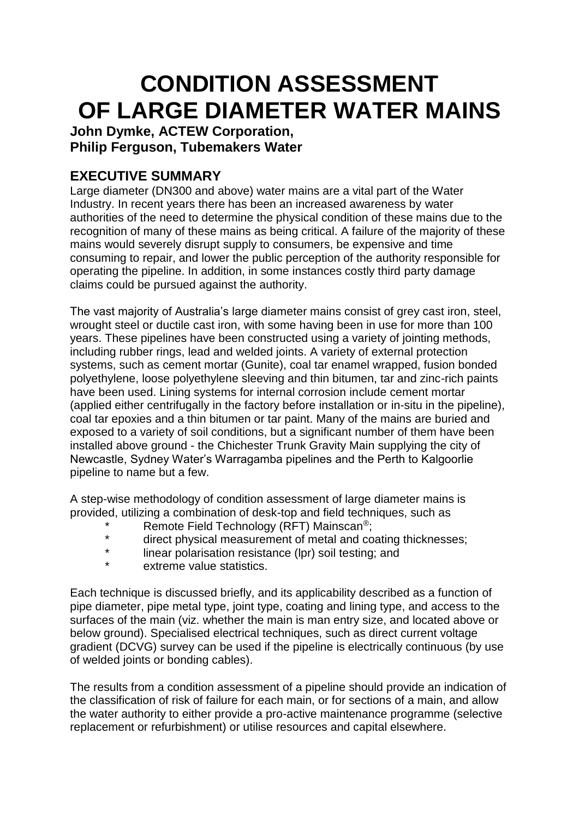## **CONDITION ASSESSMENT OF LARGE DIAMETER WATER MAINS**

## **John Dymke, ACTEW Corporation, Philip Ferguson, Tubemakers Water**

## **EXECUTIVE SUMMARY**

Large diameter (DN300 and above) water mains are a vital part of the Water Industry. In recent years there has been an increased awareness by water authorities of the need to determine the physical condition of these mains due to the recognition of many of these mains as being critical. A failure of the majority of these mains would severely disrupt supply to consumers, be expensive and time consuming to repair, and lower the public perception of the authority responsible for operating the pipeline. In addition, in some instances costly third party damage claims could be pursued against the authority.

The vast majority of Australia's large diameter mains consist of grey cast iron, steel, wrought steel or ductile cast iron, with some having been in use for more than 100 years. These pipelines have been constructed using a variety of jointing methods, including rubber rings, lead and welded joints. A variety of external protection systems, such as cement mortar (Gunite), coal tar enamel wrapped, fusion bonded polyethylene, loose polyethylene sleeving and thin bitumen, tar and zinc-rich paints have been used. Lining systems for internal corrosion include cement mortar (applied either centrifugally in the factory before installation or in-situ in the pipeline), coal tar epoxies and a thin bitumen or tar paint. Many of the mains are buried and exposed to a variety of soil conditions, but a significant number of them have been installed above ground - the Chichester Trunk Gravity Main supplying the city of Newcastle, Sydney Water's Warragamba pipelines and the Perth to Kalgoorlie pipeline to name but a few.

A step-wise methodology of condition assessment of large diameter mains is provided, utilizing a combination of desk-top and field techniques, such as

- Remote Field Technology (RFT) Mainscan<sup>®</sup>;
- direct physical measurement of metal and coating thicknesses;
- linear polarisation resistance (lpr) soil testing; and
- extreme value statistics.

Each technique is discussed briefly, and its applicability described as a function of pipe diameter, pipe metal type, joint type, coating and lining type, and access to the surfaces of the main (viz. whether the main is man entry size, and located above or below ground). Specialised electrical techniques, such as direct current voltage gradient (DCVG) survey can be used if the pipeline is electrically continuous (by use of welded joints or bonding cables).

The results from a condition assessment of a pipeline should provide an indication of the classification of risk of failure for each main, or for sections of a main, and allow the water authority to either provide a pro-active maintenance programme (selective replacement or refurbishment) or utilise resources and capital elsewhere.